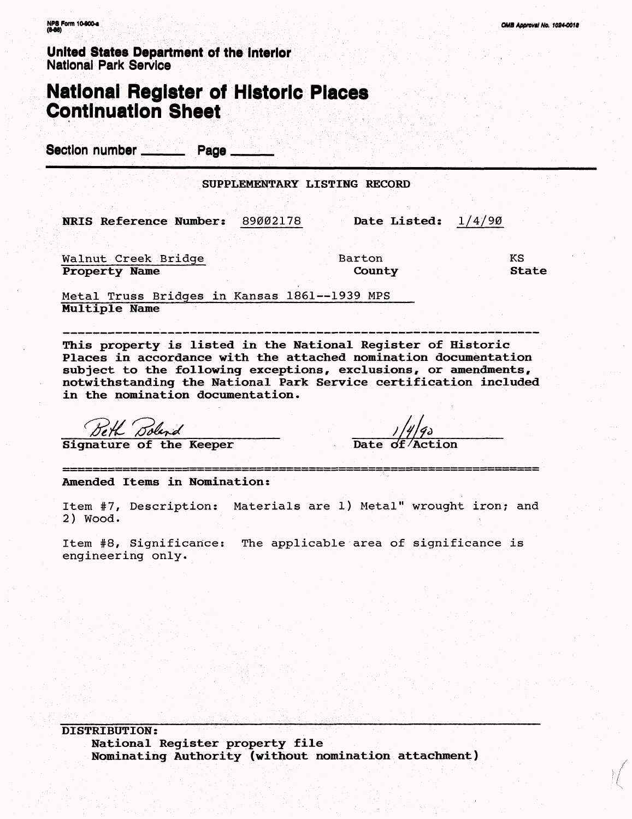United States Department of the Interior National Park Service

#### **National Register of Historic Places Continuation Sheet**

Section number Page

|                                    | SUPPLEMENTARY LISTING RECORD |              |
|------------------------------------|------------------------------|--------------|
|                                    |                              |              |
| NRIS Reference Number:<br>89002178 | Date Listed:                 | 14/90        |
|                                    |                              |              |
| Walnut Creek Bridge                | Barton                       | KS           |
| <b>Property Name</b>               | County                       | <b>State</b> |

Metal Truss Bridges in Kansas 1861--1939 MPS **Multiple Name**

**This property is listed in the National Register of Historic Places in accordance with the attached nomination documentation subject to the following exceptions, exclusions, or amendments, notwithstanding the National Park Service certification included in the nomination documentation.**

\_\_\_\_\_ **Signature of the Keeper Date of /Act ion**

**Amended Items in Nomination:**

Item #7, Description: Materials are 1) Metal" wrought iron; and 2) Wood.

Item #8, Significance: The applicable area of significance is engineering only.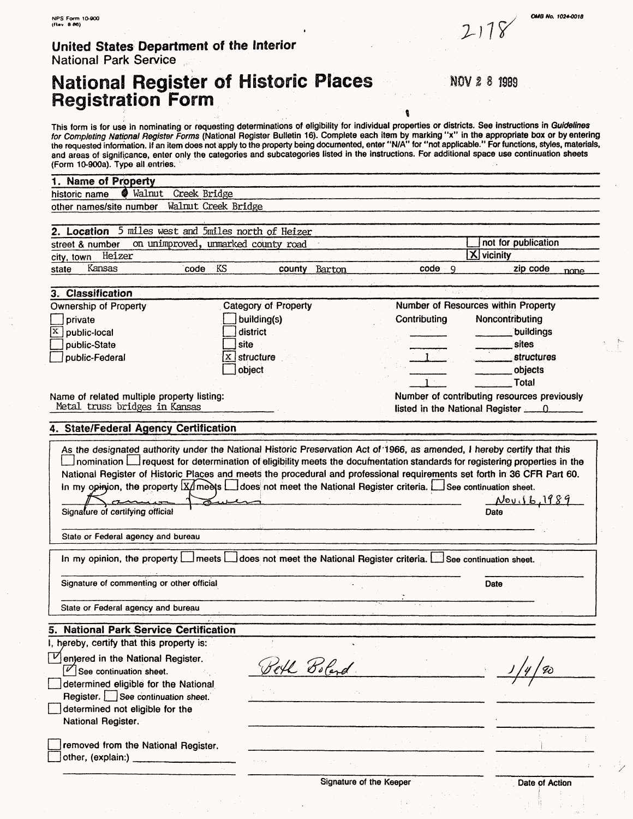#### **United States Department of the Interior** National Park Service

removed from the National Register.

 $\vert$  other, (explain:)

### **National Register of Historic Places Registration Form**

NOV 2 8 1989

 $2118$ 

This form is for use in nominating or requesting determinations of eligibility for individual properties or districts. See instructions in Guidelines for Completing National Register Forms (National Register Bulletin 16). Complete each item by marking "x" in the appropriate box or by entering the requested information. If an item does not apply to the property being documented, enter "N/A" for "not applicable." For functions, styles, materials, and areas of significance, enter only the categories and subcategories listed in the instructions. For additional space use continuation sheets (Form 10-900a). Type all entries. **1. Name of Property**<br>historic name  $\bullet$  Walnut Greek Bridge<br>Walnut Greek Bridge other names/site number **2. Location** 5 miles west and Smiles north of Heizer street & number on unimproved, unmarked county road not for publication in the street of the interval relation  $\frac{1}{\sqrt{2}}$  vicinity city, town Heizer state Kansas code KS county Barton code 9 zip code  $n$ cme **3. Classification** Category of Property Number of Resources within Property Ownership of Property | I private building(s) Contributing Noncontributing  $\overline{X}$  public-local district \_\_\_\_\_\_\_ \_\_\_\_.buildings .\_\_\_\_ \_\_\_\_sites site public-State ι, Dublic-Federal  $|X|$  structure .structures object . objects I **Total** Name of related multiple property listing: Number of contributing resources previously Metal truss bridges in Kansas listed in the National Register  $\qquad 0$ **4. State/Federal Agency Certification** As the designated authority under the National Historic Preservation Act of '1966, as amended, 1 hereby certify that this nomination request for determination of eligibility meets the documentation standards for registering properties in the<br>National Register of Historic Places and meets the procedural and professional requirements set forth National Register of Historic Places and meets the procedural and professional requirements set forth in 36 CFR Part 60. Nov.16,1989 Signature of certifying official Date of Contract Contract Contract Contract Contract Contract Contract Contract Contract Contract Contract Contract Contract Contract Contract Contract Contract Contract Contract Contract C State or Federal agency and bureau In my opinion, the property  $\square$  meets  $\square$  does not meet the National Register criteria.  $\square$  See continuation sheet. Signature of commenting or other official Date State or Federal agency and bureau **5. National Park Service Certification** I, hereby, certify that this property is: I, hereby, certify that this property is<br>  $\nabla$  entered in the National Register. Beth Boland  $|\mathscr{V}|$  See continuation sheet. I determined eligible for the National Register. See continuation sheet. determined not eligible for the National Register.

Signature of the Keeper **Date of Action** 

**QMS No. r024-OOI0**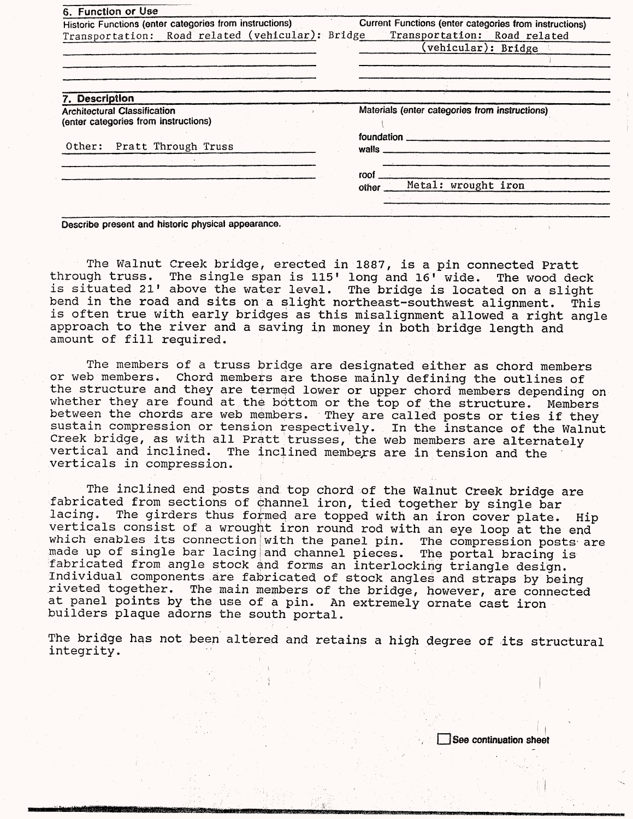| 6. Function or Use                                                          |                                                        |
|-----------------------------------------------------------------------------|--------------------------------------------------------|
| Historic Functions (enter categories from instructions)                     | Current Functions (enter categories from instructions) |
| Transportation: Road related (vehicular): Bridge                            | Transportation: Road related                           |
|                                                                             | (vehicular): Bridge                                    |
|                                                                             |                                                        |
|                                                                             |                                                        |
|                                                                             |                                                        |
| 7. Description                                                              |                                                        |
| <b>Architectural Classification</b><br>(enter categories from instructions) | Materials (enter categories from instructions)         |
| Other: Pratt Through Truss                                                  | foundation<br>walls <sub>—</sub>                       |
|                                                                             |                                                        |
|                                                                             | roof                                                   |
|                                                                             | Metal: wrought iron<br>other                           |
|                                                                             |                                                        |
|                                                                             |                                                        |

**Describe present and historic physical appearance.**

The Walnut Creek bridge, erected in 1887, is a pin connected Pratt through truss. The single span is 115' long and 16' wide. The wood deck is situated 21' above the water level. The bridge is located on a slight bend in the road and sits on a slight northeast-southwest alignment. This is often true with early bridges as this misalignment allowed a right angle approach to the river and a saving in money in both bridge length and amount of fill required.

The members of a truss bridge are designated either as chord members or web members. Chord members are those mainly defining the outlines of the structure and they are termed lower or upper chord members depending on whether they are found at the bottom or the top of the structure. Members between the chords are web members. They are called posts or ties if they sustain compression or tension respectively. In the instance of the Walnut Creek bridge, as with all Pratt trusses, the web members are alternately vertical and inclined. The inclined members are in tension and the verticals in compression.

The inclined end posts and top chord of the Walnut Creek bridge are fabricated from sections of channel iron, tied together by single bar lacing. The girders thus formed are topped with an iron cover plate. Hip verticals consist of a wrought iron round rod with an eye loop at the end which enables its connection with the panel pin. The compression posts are made up of single bar lacing and channel pieces. The portal bracing is fabricated from angle stock and forms an interlocking triangle design. Individual components are fabricated of stock angles and straps by being riveted together. The main members of the bridge, however, are connected at panel points by the use of a pin. An extremely ornate cast iron builders plaque adorns the south portal.

The bridge has not been altered and retains a high degree of its structural integrity.

**continuation sheet**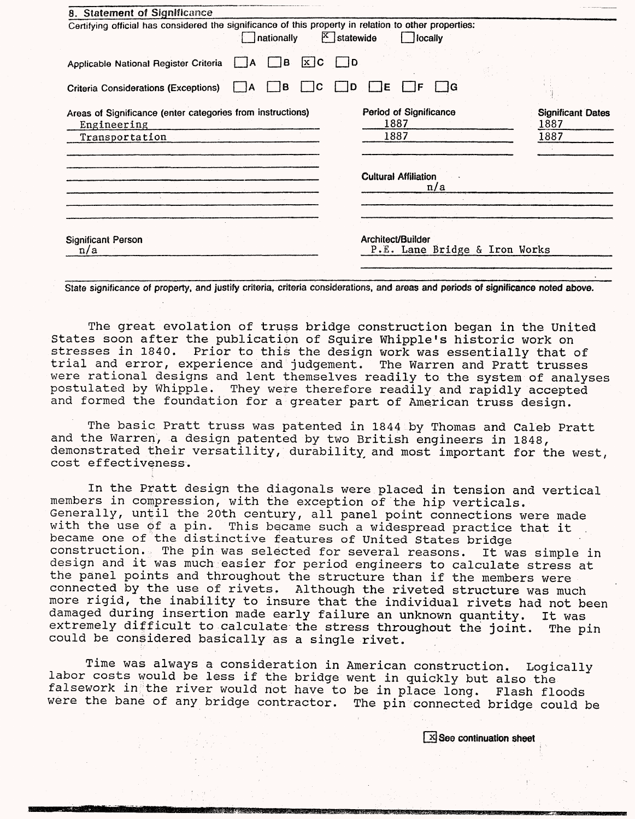| 8. Statement of Significance                                                                                                                             |                                  |
|----------------------------------------------------------------------------------------------------------------------------------------------------------|----------------------------------|
| Certifying official has considered the significance of this property in relation to other properties:<br>$\mathbb{X}$ statewide<br>nationally<br>locally |                                  |
| $x$ <sub>c</sub><br>B<br>$\overline{1}$<br>Applicable National Register Criteria<br>- IA                                                                 |                                  |
| B<br>C<br>Е<br><b>Criteria Considerations (Exceptions)</b><br>١A                                                                                         |                                  |
| Period of Significance<br>Areas of Significance (enter categories from instructions)<br>1887<br>Engineering                                              | <b>Significant Dates</b><br>1887 |
| 1887<br>Transportation                                                                                                                                   | 1887                             |
|                                                                                                                                                          |                                  |
|                                                                                                                                                          |                                  |
| <b>Cultural Affiliation</b><br>n/a                                                                                                                       |                                  |
|                                                                                                                                                          |                                  |
|                                                                                                                                                          |                                  |
|                                                                                                                                                          |                                  |
| Architect/Builder<br><b>Significant Person</b><br>P.E. Lane Bridge & Iron Works<br>n/a                                                                   |                                  |
|                                                                                                                                                          |                                  |

**State significance of property, and justify criteria, criteria considerations, and areas and periods of significance noted above.**

The great evolation of truss bridge construction began in the United States soon after the publication of Squire Whipple's historic work on stresses in 1840. Prior to this the design work was essentially that of trial and error, experience and judgement. The Warren and Pratt trusses were rational designs and lent themselves readily to the system of analyses<br>postulated by Whipple. They were therefore readily and rapidly accepted They were therefore readily and rapidly accepted and formed the foundation for a greater part of American truss design.

The basic Pratt truss was patented in 1844 by Thomas and Caleb Pratt and the Warren, a design patented by two British engineers in 1848, demonstrated their versatility, durability, and most important for the west, cost effectiveness.

In the Pratt design the diagonals were placed in tension and vertical members in compression, with the exception of the hip verticals. Generally, until the 20th century, all panel point connections were made with the use 6f a pin. This became such a widespread practice that it became one of the distinctive features of United States bridge construction. The pin was selected for several reasons. It was simple in design and it was much easier for period engineers to calculate stress at the panel points and throughout the structure than if the members were connected by the use of rivets. Although the riveted structure was much more rigid, the inability to insure that the individual rivets had not been damaged during insertion made early failure an unknown quantity. It was extremely difficult to calculate the stress throughout the joint. The pin could be considered basically as a single rivet.

Time was always a consideration in American construction. Logically labor costs would be less if the bridge went in quickly but also the falsework in the river would not have to be in place long. Flash floods were the bane of any bridge contractor. The pin connected bridge could be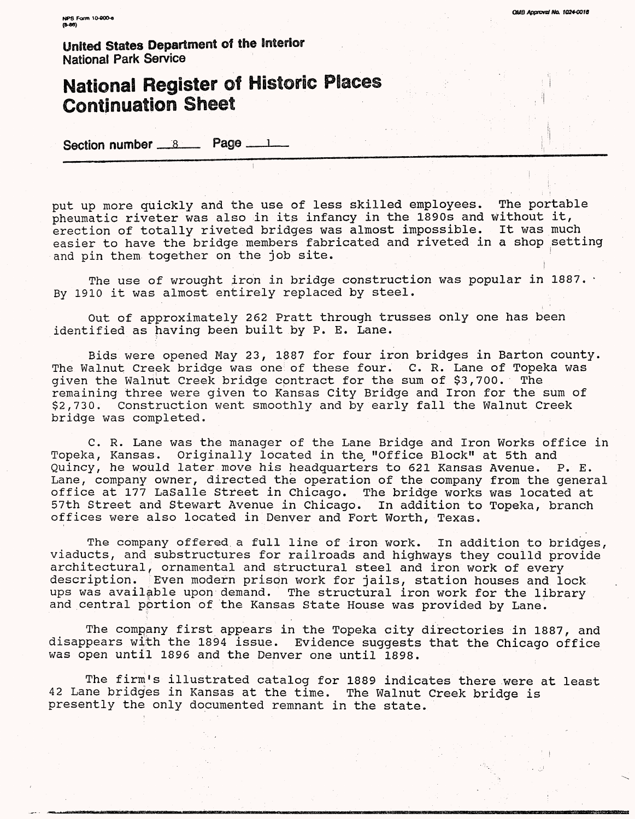# **National Register of Historic Places Continuation Sheet**

Section number  $8$  Page  $1$ 

put up more quickly and the use of less skilled employees. The portable pheumatic riveter was also in its infancy in the 1890s and without it, erection of totally riveted bridges was almost impossible. It was much easier to have the bridge members fabricated and riveted in a shop setting and pin them together on the job site.

**OMB Approval No. 1024-0018** 

The use of wrought iron in bridge construction was popular in 1887. By 1910 it was almost entirely replaced by steel.

Out of approximately 262 Pratt through trusses only one has been identified as having been built by P. E. Lane.

Bids were opened May 23, 1887 for four iron bridges in Barton county. The Walnut Creek bridge was one of these four. C. R. Lane of Topeka was given the Walnut Creek bridge contract for the sum of \$3,700. The remaining three were given to Kansas City Bridge and Iron for the sum of \$2,730. Construction went smoothly and by early fall the Walnut Creek bridge was completed.

C. R. Lane was the manager of the Lane Bridge and Iron Works office in Topeka, Kansas. Originally located in the, "Office Block" at 5th and Quincy, he would later move his headquarters to 621 Kansas Avenue. P. E. Lane, company owner, directed the operation of the company from the general office at 177 LaSalle Street in Chicago. The bridge works was located at 57th Street and Stewart Avenue in Chicago. In addition to Topeka, branch offices were also located in Denver and Fort Worth, Texas.

The company offered a full line of iron work. In addition to bridges, viaducts, and substructures for railroads and highways they coulld provide architectural, ornamental and structural steel and iron work of every description. Even modern prison work for jails, station houses and lock ups was available upon demand. The structural iron work for the library and central portion of the Kansas State House was provided by Lane.

The company first appears in the Topeka city directories in 1887, and disappears with the 1894 issue. Evidence suggests that the Chicago office was open until 1896 and the Denver one until 1898.

The firm's illustrated catalog for 1889 indicates there were at least 42 Lane bridges in Kansas at the time. The Walnut Creek bridge is presently the only documented remnant in the state.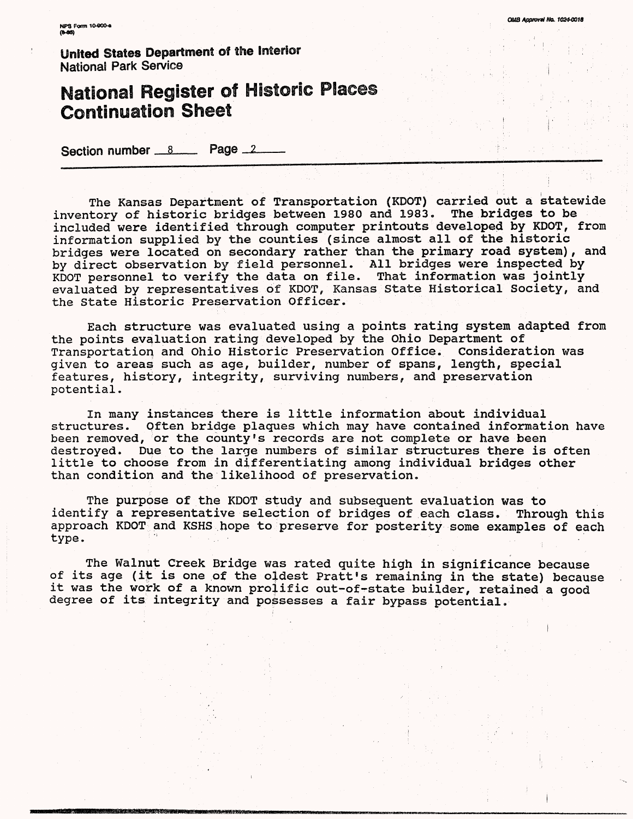**KPS Form 10-000-6** 

**United States Department of the Interior National Park Service**

## **National Register of Historic Places Continuation Sheet**

Section number 8 Page 2

The Kansas Department of Transportation (KDOT) carried out a statewide<br>tory of historic bridges between 1980 and 1983. The bridges to be inventory of historic bridges between 1980 and 1983. included were identified through computer printouts developed by KDOT, from information supplied by the counties (since almost all of the historic bridges were located on secondary rather than the primary road system), and by direct observation by field personnel. All bridges were inspected by KDOT personnel to verify the data on file. That information was jointly evaluated by representatives of KDOT, Kansas State Historical Society, and the State Historic Preservation Officer.

Each structure was evaluated using a points rating system adapted from the points evaluation rating developed by the Ohio Department of Transportation and Ohio Historic Preservation Office. Consideration was given to areas such as age, builder, number of spans, length, special features, history, integrity, surviving numbers, and preservation potential.

In many instances there is little information about individual structures. Often bridge plaques which may have contained information have been removed, or the county's records are not complete or have been destroyed. Due to the large numbers of similar structures there is often little to choose from in differentiating among individual bridges other than condition and the likelihood of preservation.

The purpose of the KDOT study and subsequent evaluation was to identify a representative selection of bridges of each class. Through this approach KDOT and KSHS hope to preserve for posterity some examples of each<br>type.

The Walnut Creek Bridge was rated quite high in significance because of its age (it is one of the oddest Pratt's remaining in the state) because it was the work of a known prolific out-of-state builder, retained a good degree of its integrity and possesses a fair bypass potential.